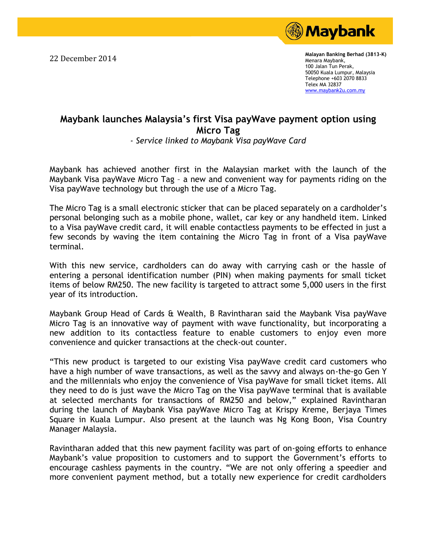

22 December 2014 **Malayan Banking Berhad (3813-K)**  Menara Maybank, 100 Jalan Tun Perak, 50050 Kuala Lumpur, Malaysia Telephone +603 2070 8833 Telex MA 32837 [www.maybank2u.com.my](http://www.maybank2u.com.my/)

## **Maybank's Maybank launches Malaysia's first Visa payWave payment option using Micro Tag**

*- Service linked to Maybank Visa payWave Card*

 $m$  are marrier or the Maybank Visa payWave Micro Tag - a new and convenient way for payments riding on the Maybank has achieved another first in the Malaysian market with the launch of the Visa payWave technology but through the use of a Micro Tag.

The Micro Tag is a small electronic sticker that can be placed separately on a cardholder's personal belonging such as a mobile phone, wallet, car key or any handheld item. Linked first time that the matrix of the Malaysian states of the Malaysian states of the Malaysian states of the Malaysian states of the Malaysian states of the Malaysian states of the Malaysian states of the Malaysian states of to a Visa payWave credit card, it will enable contactless payments to be effected in just a few seconds by waving the item containing the Micro Tag in front of a Visa payWave terminal.

With this new service, cardholders can do away with carrying cash or the hassle of which states in  $\frac{1}{2}$ entering a personal identification number (PIN) when making payments for small ticket items of below RM250. The new facility is targeted to attract some 5,000 users in the first year of its introduction.

Maybank Group Head of Cards & Wealth, B Ravintharan said the Maybank Visa payWave  $m \sim 100$ Micro Tag is an innovative way of payment with wave functionality, but incorporating a new addition to its contactless feature to enable customers to enjoy even more convenience and quicker transactions at the check-out counter.

"This new product is targeted to our existing Visa payWave credit card customers who  $\frac{1}{2}$  and  $\frac{1}{2}$  controls the decomposition  $\frac{1}{2}$ have a high number of wave transactions, as well as the savvy and always on-the-go Gen Y and the millennials who enjoy the convenience of Visa payWave for small ticket items. All they need to do is just wave the Micro Tag on the Visa payWave terminal that is available at selected merchants for transactions of RM250 and below," explained Ravintharan during the launch of Maybank Visa payWave Micro Tag at Krispy Kreme, Berjaya Times between Maybank, Leica, Leica, Leica, Leica, Leica, Leica, Leica, Leica, Leica, Leica, Leica, Leica, Leica, Le Square in Kuala Lumpur. Also present at the launch was Ng Kong Boon, Visa Country<br>... Manager Malaysia.

Ravintharan added that this new payment facility was part of on-going efforts to enhance Maybank's value proposition to customers and to support the Government's efforts to encourage cashless payments in the country. "We are not only offering a speedier and contest a spectrum more convenient payment method, but a totally new experience for credit cardholders